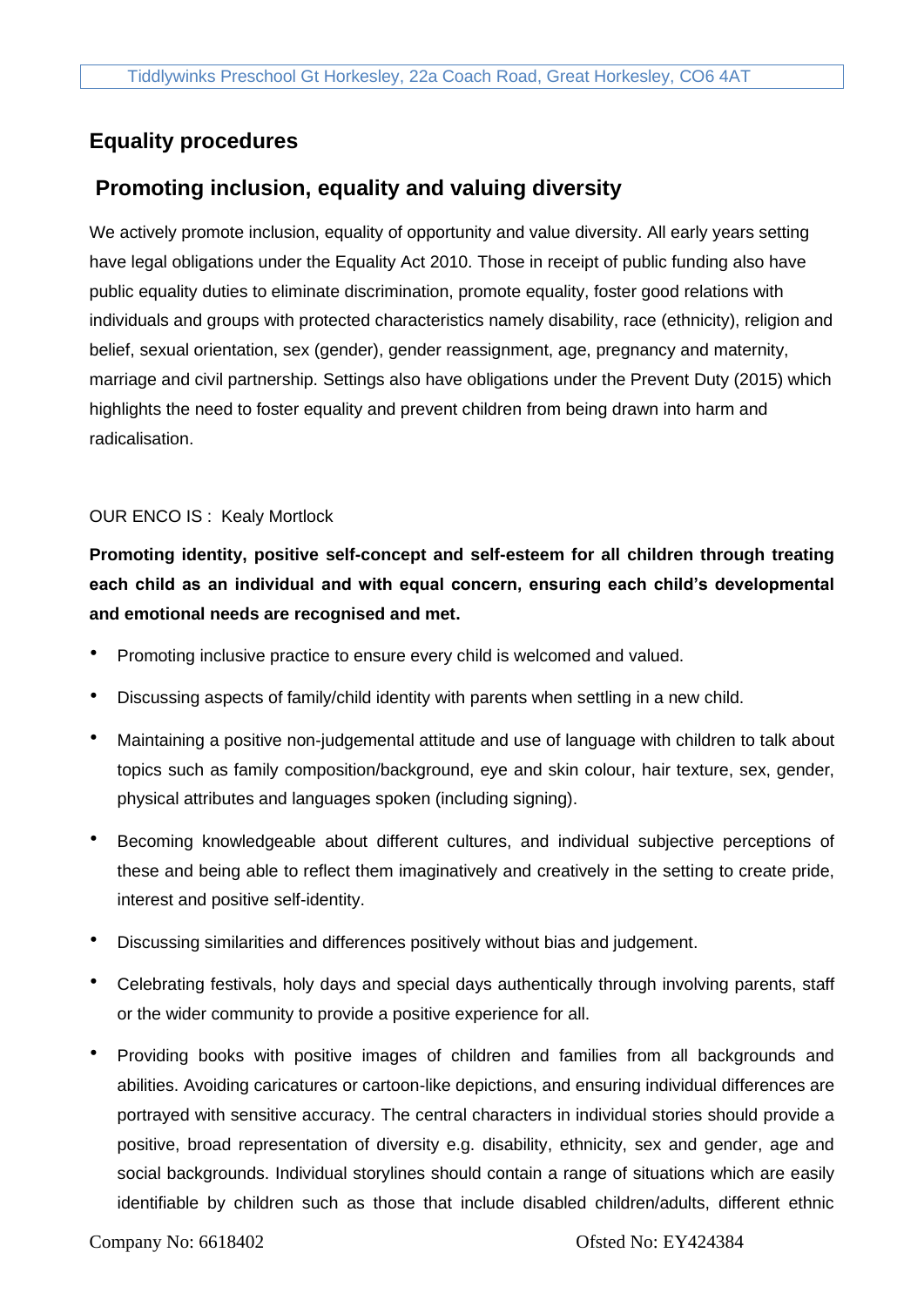# **Equality procedures**

## **Promoting inclusion, equality and valuing diversity**

We actively promote inclusion, equality of opportunity and value diversity. All early years setting have legal obligations under the Equality Act 2010. Those in receipt of public funding also have public equality duties to eliminate discrimination, promote equality, foster good relations with individuals and groups with protected characteristics namely disability, race (ethnicity), religion and belief, sexual orientation, sex (gender), gender reassignment, age, pregnancy and maternity, marriage and civil partnership. Settings also have obligations under the Prevent Duty (2015) which highlights the need to foster equality and prevent children from being drawn into harm and radicalisation.

#### OUR ENCO IS : Kealy Mortlock

**Promoting identity, positive self-concept and self-esteem for all children through treating each child as an individual and with equal concern, ensuring each child's developmental and emotional needs are recognised and met.**

- Promoting inclusive practice to ensure every child is welcomed and valued.
- Discussing aspects of family/child identity with parents when settling in a new child.
- Maintaining a positive non-judgemental attitude and use of language with children to talk about topics such as family composition/background, eye and skin colour, hair texture, sex, gender, physical attributes and languages spoken (including signing).
- Becoming knowledgeable about different cultures, and individual subjective perceptions of these and being able to reflect them imaginatively and creatively in the setting to create pride, interest and positive self-identity.
- Discussing similarities and differences positively without bias and judgement.
- Celebrating festivals, holy days and special days authentically through involving parents, staff or the wider community to provide a positive experience for all.
- Providing books with positive images of children and families from all backgrounds and abilities. Avoiding caricatures or cartoon-like depictions, and ensuring individual differences are portrayed with sensitive accuracy. The central characters in individual stories should provide a positive, broad representation of diversity e.g. disability, ethnicity, sex and gender, age and social backgrounds. Individual storylines should contain a range of situations which are easily identifiable by children such as those that include disabled children/adults, different ethnic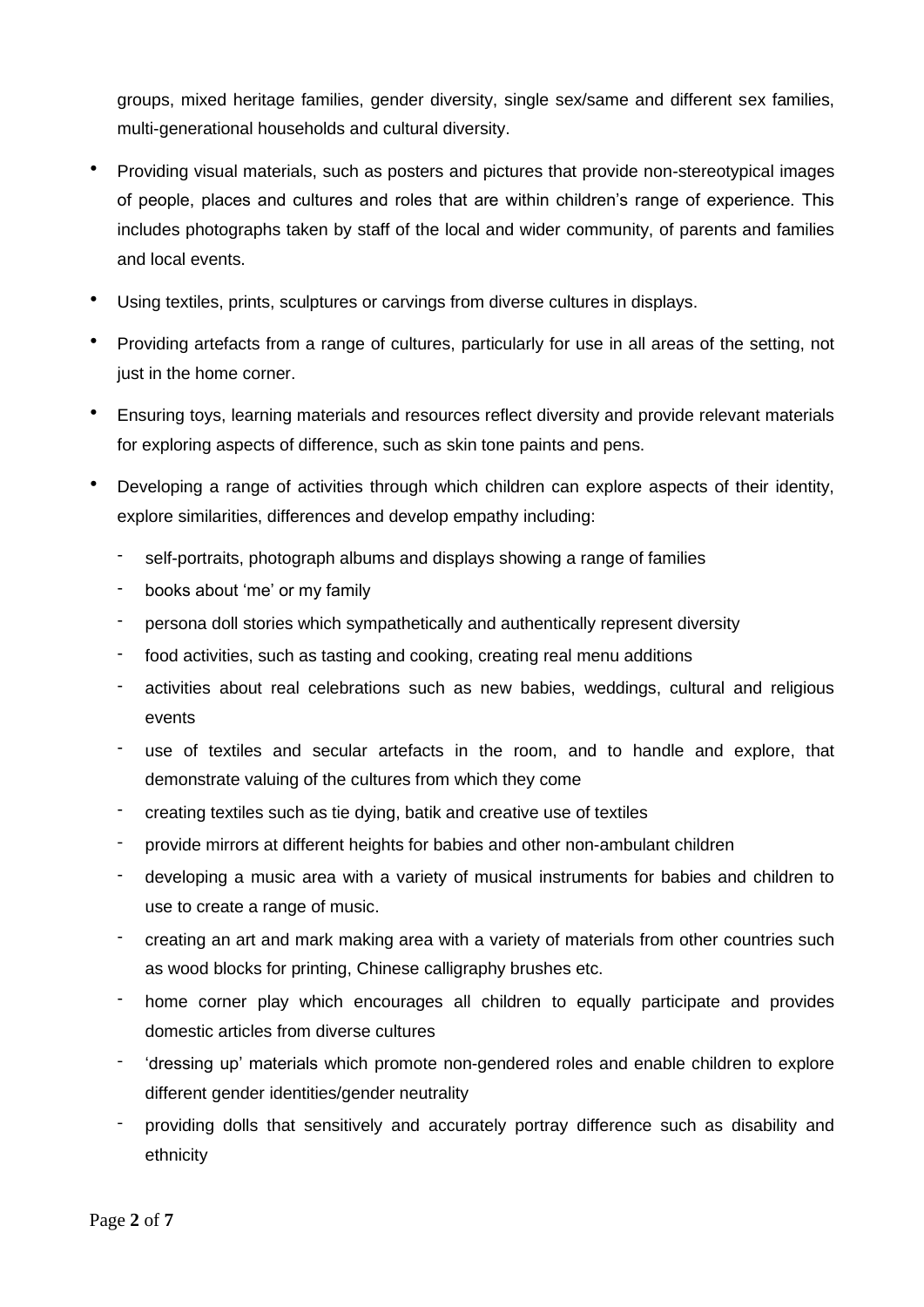groups, mixed heritage families, gender diversity, single sex/same and different sex families, multi-generational households and cultural diversity.

- Providing visual materials, such as posters and pictures that provide non-stereotypical images of people, places and cultures and roles that are within children's range of experience. This includes photographs taken by staff of the local and wider community, of parents and families and local events.
- Using textiles, prints, sculptures or carvings from diverse cultures in displays.
- Providing artefacts from a range of cultures, particularly for use in all areas of the setting, not just in the home corner.
- Ensuring toys, learning materials and resources reflect diversity and provide relevant materials for exploring aspects of difference, such as skin tone paints and pens.
- Developing a range of activities through which children can explore aspects of their identity, explore similarities, differences and develop empathy including:
	- self-portraits, photograph albums and displays showing a range of families
	- books about 'me' or my family
	- persona doll stories which sympathetically and authentically represent diversity
	- food activities, such as tasting and cooking, creating real menu additions
	- activities about real celebrations such as new babies, weddings, cultural and religious events
	- use of textiles and secular artefacts in the room, and to handle and explore, that demonstrate valuing of the cultures from which they come
	- creating textiles such as tie dying, batik and creative use of textiles
	- provide mirrors at different heights for babies and other non-ambulant children
	- developing a music area with a variety of musical instruments for babies and children to use to create a range of music.
	- creating an art and mark making area with a variety of materials from other countries such as wood blocks for printing, Chinese calligraphy brushes etc.
	- home corner play which encourages all children to equally participate and provides domestic articles from diverse cultures
	- 'dressing up' materials which promote non-gendered roles and enable children to explore different gender identities/gender neutrality
	- providing dolls that sensitively and accurately portray difference such as disability and ethnicity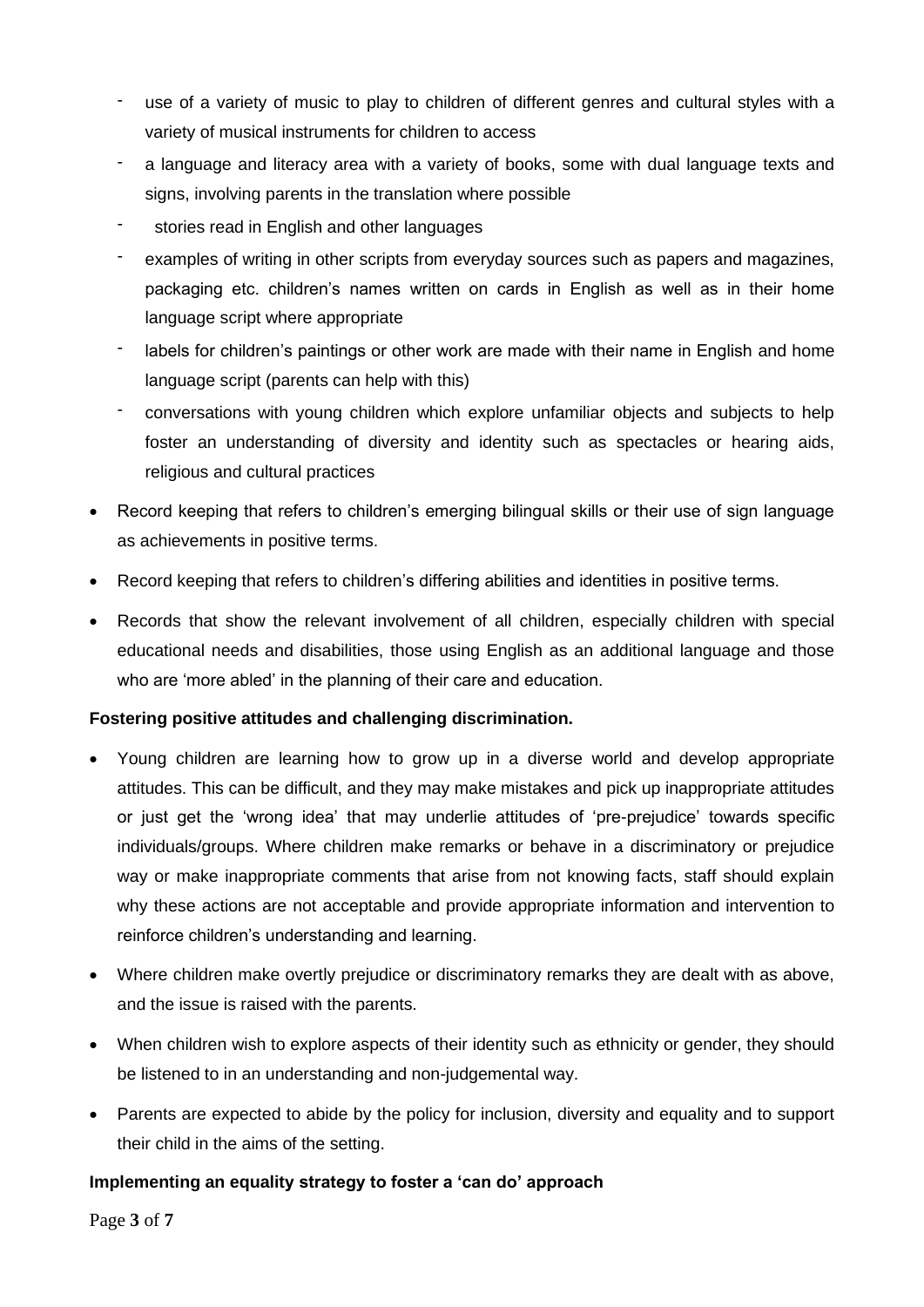- use of a variety of music to play to children of different genres and cultural styles with a variety of musical instruments for children to access
- a language and literacy area with a variety of books, some with dual language texts and signs, involving parents in the translation where possible
- stories read in English and other languages
- examples of writing in other scripts from everyday sources such as papers and magazines, packaging etc. children's names written on cards in English as well as in their home language script where appropriate
- labels for children's paintings or other work are made with their name in English and home language script (parents can help with this)
- conversations with young children which explore unfamiliar objects and subjects to help foster an understanding of diversity and identity such as spectacles or hearing aids, religious and cultural practices
- Record keeping that refers to children's emerging bilingual skills or their use of sign language as achievements in positive terms.
- Record keeping that refers to children's differing abilities and identities in positive terms.
- Records that show the relevant involvement of all children, especially children with special educational needs and disabilities, those using English as an additional language and those who are 'more abled' in the planning of their care and education.

## **Fostering positive attitudes and challenging discrimination.**

- Young children are learning how to grow up in a diverse world and develop appropriate attitudes. This can be difficult, and they may make mistakes and pick up inappropriate attitudes or just get the 'wrong idea' that may underlie attitudes of 'pre-prejudice' towards specific individuals/groups. Where children make remarks or behave in a discriminatory or prejudice way or make inappropriate comments that arise from not knowing facts, staff should explain why these actions are not acceptable and provide appropriate information and intervention to reinforce children's understanding and learning.
- Where children make overtly prejudice or discriminatory remarks they are dealt with as above, and the issue is raised with the parents.
- When children wish to explore aspects of their identity such as ethnicity or gender, they should be listened to in an understanding and non-judgemental way.
- Parents are expected to abide by the policy for inclusion, diversity and equality and to support their child in the aims of the setting.

## **Implementing an equality strategy to foster a 'can do' approach**

Page **3** of **7**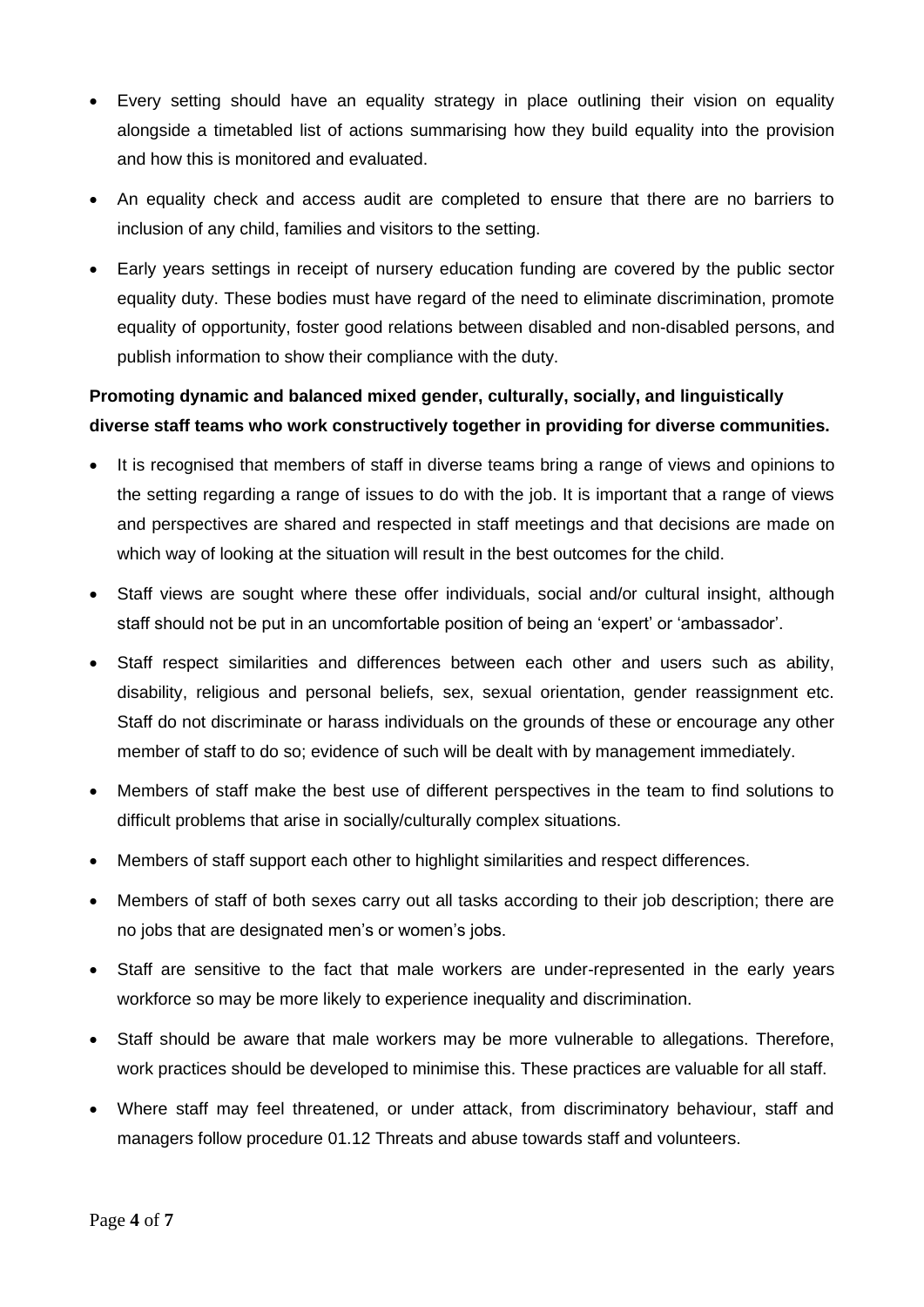- Every setting should have an equality strategy in place outlining their vision on equality alongside a timetabled list of actions summarising how they build equality into the provision and how this is monitored and evaluated.
- An equality check and access audit are completed to ensure that there are no barriers to inclusion of any child, families and visitors to the setting.
- Early years settings in receipt of nursery education funding are covered by the public sector equality duty. These bodies must have regard of the need to eliminate discrimination, promote equality of opportunity, foster good relations between disabled and non-disabled persons, and publish information to show their compliance with the duty.

# **Promoting dynamic and balanced mixed gender, culturally, socially, and linguistically diverse staff teams who work constructively together in providing for diverse communities.**

- It is recognised that members of staff in diverse teams bring a range of views and opinions to the setting regarding a range of issues to do with the job. It is important that a range of views and perspectives are shared and respected in staff meetings and that decisions are made on which way of looking at the situation will result in the best outcomes for the child.
- Staff views are sought where these offer individuals, social and/or cultural insight, although staff should not be put in an uncomfortable position of being an 'expert' or 'ambassador'.
- Staff respect similarities and differences between each other and users such as ability, disability, religious and personal beliefs, sex, sexual orientation, gender reassignment etc. Staff do not discriminate or harass individuals on the grounds of these or encourage any other member of staff to do so; evidence of such will be dealt with by management immediately.
- Members of staff make the best use of different perspectives in the team to find solutions to difficult problems that arise in socially/culturally complex situations.
- Members of staff support each other to highlight similarities and respect differences.
- Members of staff of both sexes carry out all tasks according to their job description; there are no jobs that are designated men's or women's jobs.
- Staff are sensitive to the fact that male workers are under-represented in the early years workforce so may be more likely to experience inequality and discrimination.
- Staff should be aware that male workers may be more vulnerable to allegations. Therefore, work practices should be developed to minimise this. These practices are valuable for all staff.
- Where staff may feel threatened, or under attack, from discriminatory behaviour, staff and managers follow procedure 01.12 Threats and abuse towards staff and volunteers.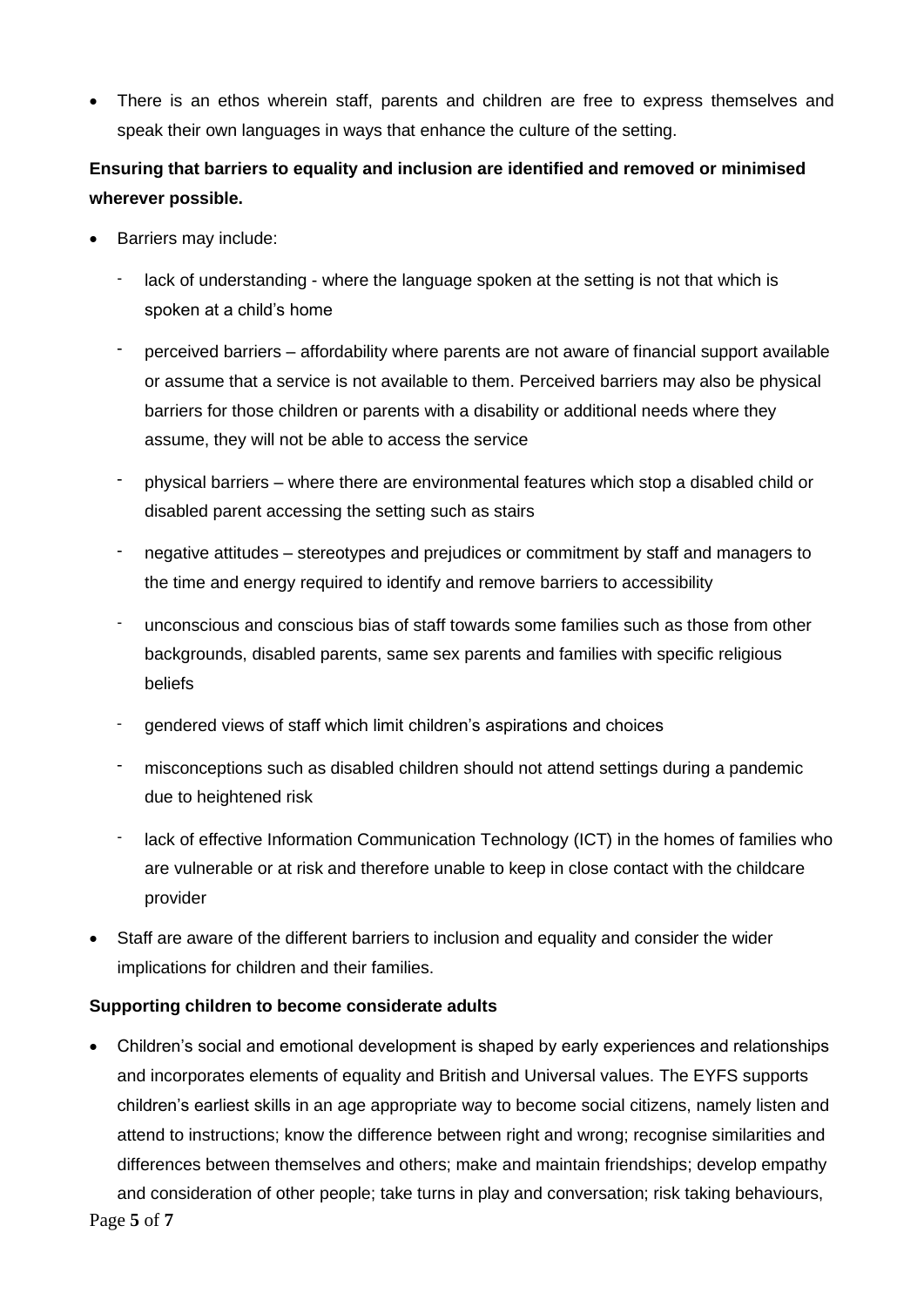• There is an ethos wherein staff, parents and children are free to express themselves and speak their own languages in ways that enhance the culture of the setting.

# **Ensuring that barriers to equality and inclusion are identified and removed or minimised wherever possible.**

- Barriers may include:
	- lack of understanding where the language spoken at the setting is not that which is spoken at a child's home
	- perceived barriers affordability where parents are not aware of financial support available or assume that a service is not available to them. Perceived barriers may also be physical barriers for those children or parents with a disability or additional needs where they assume, they will not be able to access the service
	- physical barriers where there are environmental features which stop a disabled child or disabled parent accessing the setting such as stairs
	- negative attitudes stereotypes and prejudices or commitment by staff and managers to the time and energy required to identify and remove barriers to accessibility
	- unconscious and conscious bias of staff towards some families such as those from other backgrounds, disabled parents, same sex parents and families with specific religious beliefs
	- gendered views of staff which limit children's aspirations and choices
	- misconceptions such as disabled children should not attend settings during a pandemic due to heightened risk
	- lack of effective Information Communication Technology (ICT) in the homes of families who are vulnerable or at risk and therefore unable to keep in close contact with the childcare provider
- Staff are aware of the different barriers to inclusion and equality and consider the wider implications for children and their families.

## **Supporting children to become considerate adults**

Page **5** of **7** • Children's social and emotional development is shaped by early experiences and relationships and incorporates elements of equality and British and Universal values. The EYFS supports children's earliest skills in an age appropriate way to become social citizens, namely listen and attend to instructions; know the difference between right and wrong; recognise similarities and differences between themselves and others; make and maintain friendships; develop empathy and consideration of other people; take turns in play and conversation; risk taking behaviours,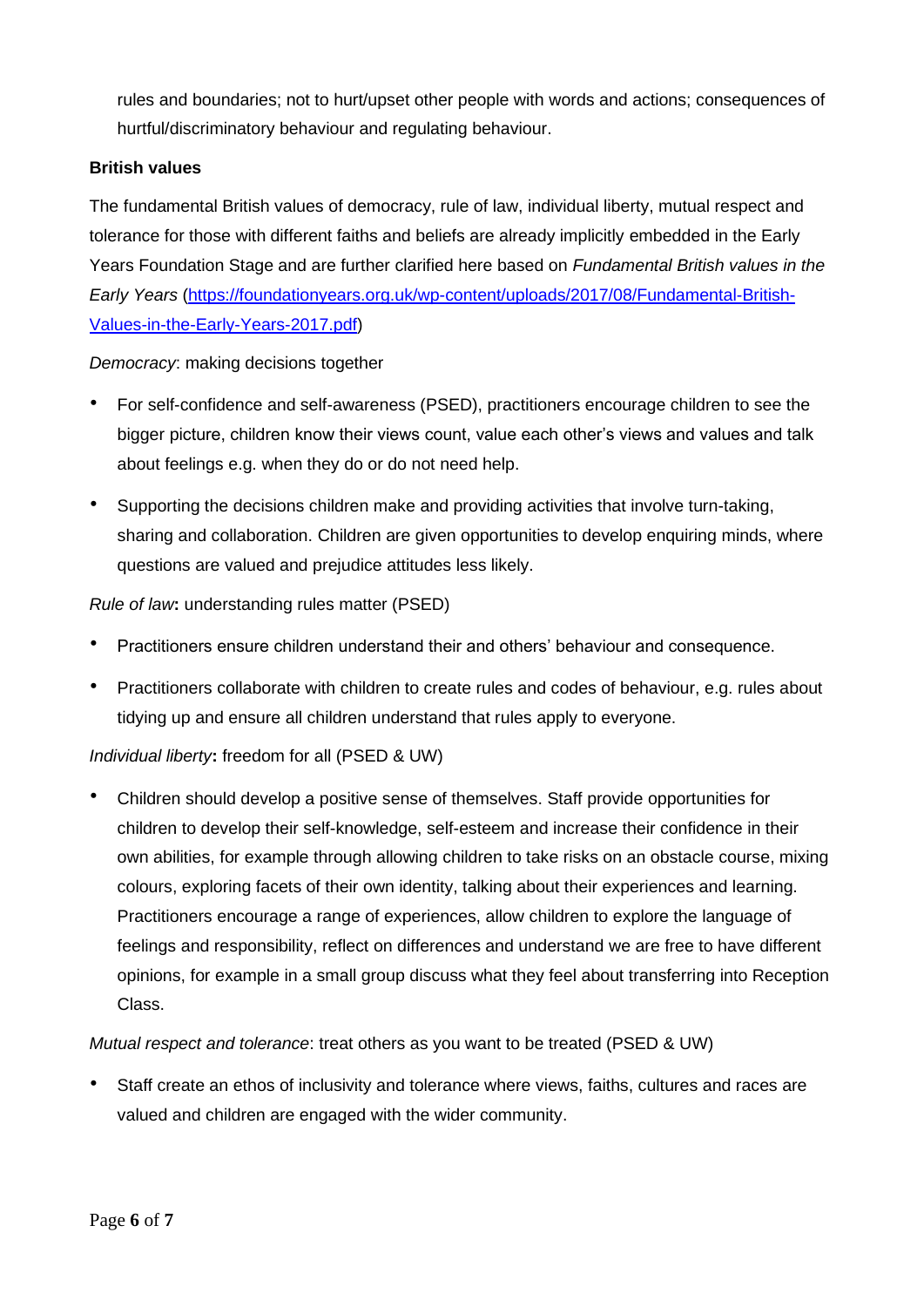rules and boundaries; not to hurt/upset other people with words and actions; consequences of hurtful/discriminatory behaviour and regulating behaviour.

### **British values**

The fundamental British values of democracy, rule of law, individual liberty, mutual respect and tolerance for those with different faiths and beliefs are already implicitly embedded in the Early Years Foundation Stage and are further clarified here based on *Fundamental British values in the Early Years* [\(https://foundationyears.org.uk/wp-content/uploads/2017/08/Fundamental-British-](https://foundationyears.org.uk/wp-content/uploads/2017/08/Fundamental-British-Values-in-the-Early-Years-2017.pdf)[Values-in-the-Early-Years-2017.pdf\)](https://foundationyears.org.uk/wp-content/uploads/2017/08/Fundamental-British-Values-in-the-Early-Years-2017.pdf)

#### *Democracy*: making decisions together

- For self-confidence and self-awareness (PSED), practitioners encourage children to see the bigger picture, children know their views count, value each other's views and values and talk about feelings e.g. when they do or do not need help.
- Supporting the decisions children make and providing activities that involve turn-taking, sharing and collaboration. Children are given opportunities to develop enquiring minds, where questions are valued and prejudice attitudes less likely.

#### *Rule of law***:** understanding rules matter (PSED)

- Practitioners ensure children understand their and others' behaviour and consequence.
- Practitioners collaborate with children to create rules and codes of behaviour, e.g. rules about tidying up and ensure all children understand that rules apply to everyone.

## *Individual liberty***:** freedom for all (PSED & UW)

• Children should develop a positive sense of themselves. Staff provide opportunities for children to develop their self-knowledge, self-esteem and increase their confidence in their own abilities, for example through allowing children to take risks on an obstacle course, mixing colours, exploring facets of their own identity, talking about their experiences and learning. Practitioners encourage a range of experiences, allow children to explore the language of feelings and responsibility, reflect on differences and understand we are free to have different opinions, for example in a small group discuss what they feel about transferring into Reception Class.

#### *Mutual respect and tolerance*: treat others as you want to be treated (PSED & UW)

• Staff create an ethos of inclusivity and tolerance where views, faiths, cultures and races are valued and children are engaged with the wider community.